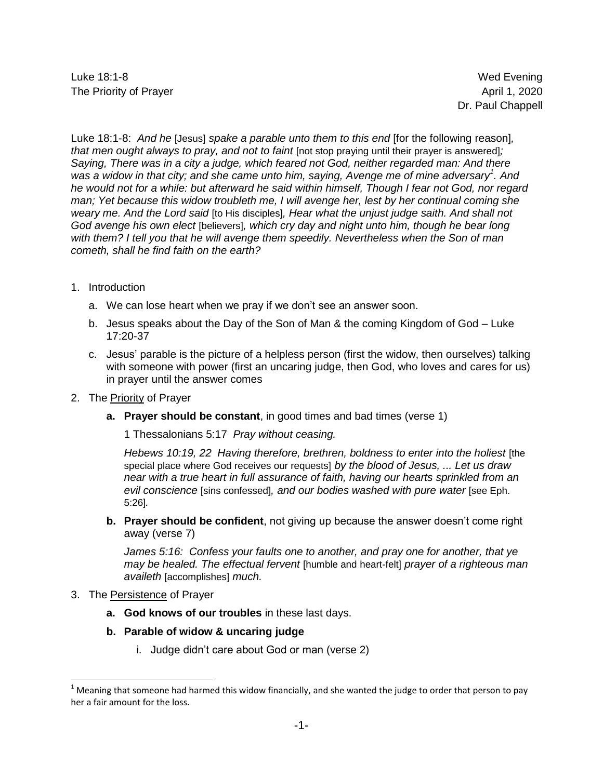Luke 18:1-8 Wed Evening The Priority of Prayer April 1, 2020

Dr. Paul Chappell

Luke 18:1-8: *And he* [Jesus] *spake a parable unto them to this end* [for the following reason]*, that men ought always to pray, and not to faint* [not stop praying until their prayer is answered]; *Saying, There was in a city a judge, which feared not God, neither regarded man: And there*  was a widow in that city; and she came unto him, saying, Avenge me of mine adversary<sup>1</sup>. And *he would not for a while: but afterward he said within himself, Though I fear not God, nor regard man; Yet because this widow troubleth me, I will avenge her, lest by her continual coming she weary me. And the Lord said* [to His disciples]*, Hear what the unjust judge saith. And shall not God avenge his own elect* [believers]*, which cry day and night unto him, though he bear long with them? I tell you that he will avenge them speedily. Nevertheless when the Son of man cometh, shall he find faith on the earth?*

- 1. Introduction
	- a. We can lose heart when we pray if we don't see an answer soon.
	- b. Jesus speaks about the Day of the Son of Man & the coming Kingdom of God Luke 17:20-37
	- c. Jesus' parable is the picture of a helpless person (first the widow, then ourselves) talking with someone with power (first an uncaring judge, then God, who loves and cares for us) in prayer until the answer comes
- 2. The Priority of Prayer
	- **a. Prayer should be constant**, in good times and bad times (verse 1)

1 Thessalonians 5:17 *Pray without ceasing.*

*Hebews* 10:19, 22 Having therefore, brethren, boldness to enter into the holiest [the special place where God receives our requests] *by the blood of Jesus, ... Let us draw near with a true heart in full assurance of faith, having our hearts sprinkled from an evil conscience* [sins confessed]*, and our bodies washed with pure water* [see Eph. 5:26]*.*

**b. Prayer should be confident**, not giving up because the answer doesn't come right away (verse 7)

*James 5:16: Confess your faults one to another, and pray one for another, that ye may be healed. The effectual fervent* [humble and heart-felt] *prayer of a righteous man availeth* [accomplishes] *much.*

## 3. The Persistence of Prayer

l

- **a. God knows of our troubles** in these last days.
- **b. Parable of widow & uncaring judge**
	- i. Judge didn't care about God or man (verse 2)

 $1$  Meaning that someone had harmed this widow financially, and she wanted the judge to order that person to pay her a fair amount for the loss.